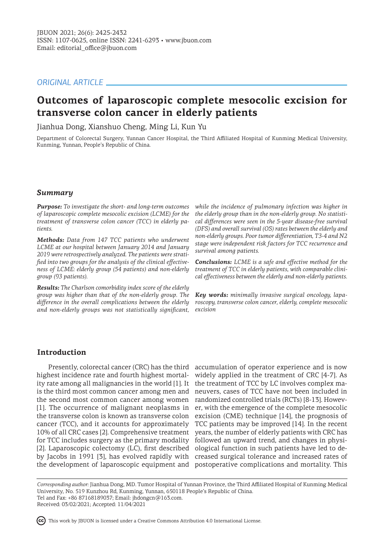# *ORIGINAL ARTICLE*

# **Outcomes of laparoscopic complete mesocolic excision for transverse colon cancer in elderly patients**

Jianhua Dong, Xianshuo Cheng, Ming Li, Kun Yu

Department of Colorectal Surgery, Yunnan Cancer Hospital, the Third Affiliated Hospital of Kunming Medical University, Kunming, Yunnan, People's Republic of China.

### *Summary*

*Purpose: To investigate the short- and long-term outcomes of laparoscopic complete mesocolic excision (LCME) for the treatment of transverse colon cancer (TCC) in elderly patients.*

*Methods: Data from 147 TCC patients who underwent LCME at our hospital between January 2014 and January 2019 were retrospectively analyzed. The patients were stratified into two groups for the analysis of the clinical effectiveness of LCME: elderly group (54 patients) and non-elderly group (93 patients).* 

*Results: The Charlson comorbidity index score of the elderly group was higher than that of the non-elderly group. The difference in the overall complications between the elderly and non-elderly groups was not statistically significant,* 

*while the incidence of pulmonary infection was higher in the elderly group than in the non-elderly group. No statistical differences were seen in the 5-year disease-free survival (DFS) and overall survival (OS) rates between the elderly and non-elderly groups. Poor tumor differentiation, T3-4 and N2 stage were independent risk factors for TCC recurrence and survival among patients.*

*Conclusions: LCME is a safe and effective method for the treatment of TCC in elderly patients, with comparable clinical effectiveness between the elderly and non-elderly patients.* 

*Key words: minimally invasive surgical oncology, laparoscopy, transverse colon cancer, elderly, complete mesocolic excision*

# **Introduction**

highest incidence rate and fourth highest mortal-widely applied in the treatment of CRC [4-7]. As ity rate among all malignancies in the world [1]. It is the third most common cancer among men and the second most common cancer among women [1]. The occurrence of malignant neoplasms in the transverse colon is known as transverse colon cancer (TCC), and it accounts for approximately 10% of all CRC cases [2]. Comprehensive treatment for TCC includes surgery as the primary modality followed an upward trend, and changes in physi-[2]. Laparoscopic colectomy (LC), first described ological function in such patients have led to deby Jacobs in 1991 [3], has evolved rapidly with creased surgical tolerance and increased rates of

Presently, colorectal cancer (CRC) has the third accumulation of operator experience and is now the development of laparoscopic equipment and postoperative complications and mortality. This the treatment of TCC by LC involves complex maneuvers, cases of TCC have not been included in randomized controlled trials (RCTs) [8-13]. However, with the emergence of the complete mesocolic excision (CME) technique [14], the prognosis of TCC patients may be improved [14]. In the recent years, the number of elderly patients with CRC has

*Corresponding author:* Jianhua Dong, MD. Tumor Hospital of Yunnan Province, the Third Affiliated Hospital of Kunming Medical University, No. 519 Kunzhou Rd, Kunming, Yunnan, 650118 People's Republic of China. Tel and Fax: +86 87168189037; Email: jhdongcn@163.com.

Received: 03/02/2021; Accepted: 11/04/2021

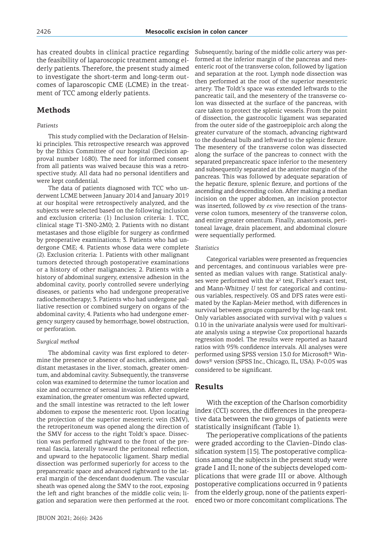has created doubts in clinical practice regarding the feasibility of laparoscopic treatment among elderly patients. Therefore, the present study aimed to investigate the short-term and long-term outcomes of laparoscopic CME (LCME) in the treatment of TCC among elderly patients.

# **Methods**

#### *Patients*

This study complied with the Declaration of Helsinki principles. This retrospective research was approved by the Ethics Committee of our hospital (Decision approval number 1680). The need for informed consent from all patients was waived because this was a retrospective study. All data had no personal identifiers and were kept confidential.

The data of patients diagnosed with TCC who underwent LCME between January 2014 and January 2019 at our hospital were retrospectively analyzed, and the subjects were selected based on the following inclusion and exclusion criteria: (1) Inclusion criteria: 1. TCC, clinical stage T1-3N0-2M0; 2. Patients with no distant metastases and those eligible for surgery as confirmed by preoperative examinations; 3. Patients who had undergone CME; 4. Patients whose data were complete (2). Exclusion criteria: 1. Patients with other malignant tumors detected through postoperative examinations or a history of other malignancies; 2. Patients with a history of abdominal surgery, extensive adhesion in the abdominal cavity, poorly controlled severe underlying diseases, or patients who had undergone preoperative radiochemotherapy; 3. Patients who had undergone palliative resection or combined surgery on organs of the abdominal cavity; 4. Patients who had undergone emergency surgery caused by hemorrhage, bowel obstruction, or perforation.

#### *Surgical method*

The abdominal cavity was first explored to determine the presence or absence of ascites, adhesions, and distant metastases in the liver, stomach, greater omentum, and abdominal cavity. Subsequently, the transverse colon was examined to determine the tumor location and size and occurrence of serosal invasion. After complete examination, the greater omentum was reflected upward, and the small intestine was retracted to the left lower abdomen to expose the mesenteric root. Upon locating the projection of the superior mesenteric vein (SMV), the retroperitoneum was opened along the direction of the SMV for access to the right Toldt's space. Dissection was performed rightward to the front of the prerenal fascia, laterally toward the peritoneal reflection, and upward to the hepatocolic ligament. Sharp medial dissection was performed superiorly for access to the prepancreatic space and advanced rightward to the lateral margin of the descendant duodenum. The vascular sheath was opened along the SMV to the root, exposing the left and right branches of the middle colic vein; ligation and separation were then performed at the root.

JBUON 2021; 26(6): 2426

Subsequently, baring of the middle colic artery was performed at the inferior margin of the pancreas and mesenteric root of the transverse colon, followed by ligation and separation at the root. Lymph node dissection was then performed at the root of the superior mesenteric artery. The Toldt's space was extended leftwards to the pancreatic tail, and the mesentery of the transverse colon was dissected at the surface of the pancreas, with care taken to protect the splenic vessels. From the point of dissection, the gastrocolic ligament was separated from the outer side of the gastroepiploic arch along the greater curvature of the stomach, advancing rightward to the duodenal bulb and leftward to the splenic flexure. The mesentery of the transverse colon was dissected along the surface of the pancreas to connect with the separated prepancreatic space inferior to the mesentery and subsequently separated at the anterior margin of the pancreas. This was followed by adequate separation of the hepatic flexure, splenic flexure, and portions of the ascending and descending colon. After making a median incision on the upper abdomen, an incision protector was inserted, followed by *ex vivo* resection of the transverse colon tumors, mesentery of the transverse colon, and entire greater omentum. Finally, anastomosis, peritoneal lavage, drain placement, and abdominal closure were sequentially performed.

#### *Statistics*

Categorical variables were presented as frequencies and percentages, and continuous variables were presented as median values with range. Statistical analyses were performed with the  $x^2$  test, Fisher's exact test, and Mann-Whitney *U* test for categorical and continuous variables, respectively. OS and DFS rates were estimated by the Kaplan-Meier method, with differences in survival between groups compared by the log-rank test. Only variables associated with survival with p values  $\leq$ 0.10 in the univariate analysis were used for multivariate analysis using a stepwise Cox proportional hazards regression model. The results were reported as hazard ratios with 95% confidence intervals. All analyses were performed using SPSS version 13.0 for Microsoft® Windows® version (SPSS Inc., Chicago, IL, USA). P<0.05 was considered to be significant.

### **Results**

With the exception of the Charlson comorbidity index (CCI) scores, the differences in the preoperative data between the two groups of patients were statistically insignificant (Table 1).

The perioperative complications of the patients were graded according to the Clavien–Dindo classification system [15]. The postoperative complications among the subjects in the present study were grade I and II; none of the subjects developed complications that were grade III or above. Although postoperative complications occurred in 9 patients from the elderly group, none of the patients experienced two or more concomitant complications. The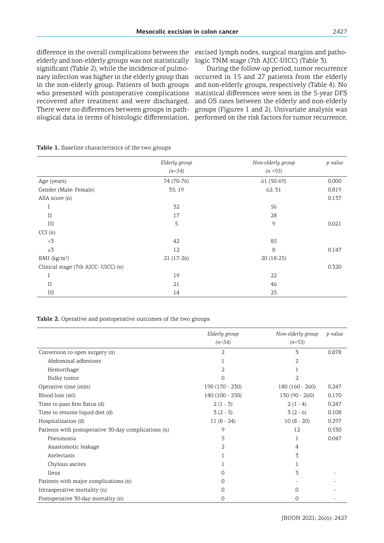difference in the overall complications between the excised lymph nodes, surgical margins and pathoelderly and non-elderly groups was not statistically logic TNM stage (7th AJCC-UICC) (Table 3). significant (Table 2), while the incidence of pulmoin the non-elderly group. Patients of both groups who presented with postoperative complications recovered after treatment and were discharged. There were no differences between groups in path-

nary infection was higher in the elderly group than occurred in 15 and 27 patients from the elderly ological data in terms of histologic differentiation, performed on the risk factors for tumor recurrence, During the follow-up period, tumor recurrence and non-elderly groups, respectively (Table 4). No statistical differences were seen in the 5-year DFS and OS rates between the elderly and non-elderly groups (Figures 1 and 2). Univariate analysis was

|                                     | Elderly group | Non-elderly group | p value |
|-------------------------------------|---------------|-------------------|---------|
|                                     | $(n=54)$      | $(n = 93)$        |         |
| Age (years)                         | 74 (70-76)    | $61(50-69)$       | 0.000   |
| Gender (Male: Female)               | 35:19         | 62:31             | 0.819   |
| ASA score (n)                       |               |                   | 0.137   |
| Ι                                   | 32            | 56                |         |
| $_{\rm II}$                         | 17            | 28                |         |
| III                                 | 5             | 9                 | 0.021   |
| CCI(n)                              |               |                   |         |
| < 3                                 | 42            | 85                |         |
| $\geq 3$                            | 12            | 8                 | 0.147   |
| BMI $(kg/m2)$                       | $21(17-26)$   | 20 (18-25)        |         |
| Clinical stage (7th AJCC- UICC) (n) |               |                   | 0.320   |
| I                                   | 19            | 22                |         |
| $_{II}$                             | 21            | 46                |         |
| III                                 | 14            | 25                |         |

**Table 1.** Baseline characteristics of the two groups

**Table 2.** Operative and postoperative outcomes of the two groups

|                                                      | Elderly group    | Non-elderly group | p value |
|------------------------------------------------------|------------------|-------------------|---------|
|                                                      | $(n=54)$         | $(n=93)$          |         |
| Conversion to open surgery (n)                       | 2                | 3                 | 0.878   |
| Abdominal adhesions                                  |                  | 2                 |         |
| Hemorrhage                                           | 2                |                   |         |
| Bulky tumor                                          | 0                | 2                 |         |
| Operative time (min)                                 | 190 (170 - 230)  | 180 (160 - 260)   | 0.247   |
| Blood loss (ml)                                      | $140(100 - 250)$ | $130(90 - 260)$   | 0.170   |
| Time to pass first flatus (d)                        | $2(1 - 3)$       | $2(1-4)$          | 0.247   |
| Time to resume liquid diet (d)                       | $3(2-5)$         | $3(2-6)$          | 0.108   |
| Hospitalization (d)                                  | $11(8 - 24)$     | $10(8 - 20)$      | 0.297   |
| Patients with postoperative 30-day complications (n) | 9                | 12                | 0.530   |
| Pneumonia                                            | 5                | 1                 | 0.047   |
| Anastomotic leakage                                  | 2                | 4                 |         |
| Atelectasis                                          |                  | 3                 |         |
| Chylous ascites                                      |                  |                   |         |
| Ileus                                                | O                | 3                 |         |
| Patients with major complications (n)                | 0                |                   |         |
| Intraoperative mortality (n)                         | 0                | 0                 |         |
| Postoperative 30-day mortality (n)                   | 0                | 0                 |         |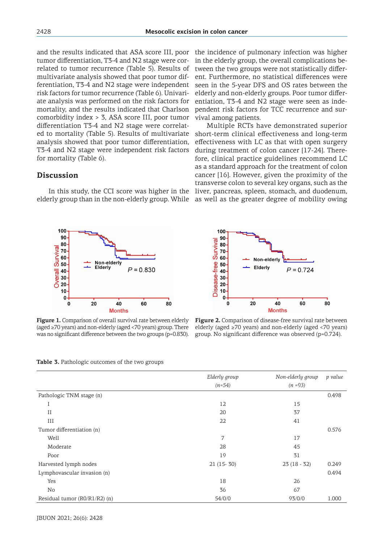and the results indicated that ASA score III, poor tumor differentiation, T3-4 and N2 stage were correlated to tumor recurrence (Table 5). Results of multivariate analysis showed that poor tumor differentiation, T3-4 and N2 stage were independent risk factors for tumor recurrence (Table 6). Univariate analysis was performed on the risk factors for mortality, and the results indicated that Charlson comorbidity index > 3, ASA score III, poor tumor differentiation T3-4 and N2 stage were correlated to mortality (Table 5). Results of multivariate analysis showed that poor tumor differentiation, T3-4 and N2 stage were independent risk factors for mortality (Table 6).

## **Discussion**

In this study, the CCI score was higher in the elderly group than in the non-elderly group. While



**Figure 1.** Comparison of overall survival rate between elderly (aged ≥70 years) and non-elderly (aged <70 years) group. There was no significant difference between the two groups (p=0.830).

the incidence of pulmonary infection was higher in the elderly group, the overall complications between the two groups were not statistically different. Furthermore, no statistical differences were seen in the 5-year DFS and OS rates between the elderly and non-elderly groups. Poor tumor differentiation, T3-4 and N2 stage were seen as independent risk factors for TCC recurrence and survival among patients.

Multiple RCTs have demonstrated superior short-term clinical effectiveness and long-term effectiveness with LC as that with open surgery during treatment of colon cancer [17-24]. Therefore, clinical practice guidelines recommend LC as a standard approach for the treatment of colon cancer [16]. However, given the proximity of the transverse colon to several key organs, such as the liver, pancreas, spleen, stomach, and duodenum, as well as the greater degree of mobility owing



**Figure 2.** Comparison of disease-free survival rate between elderly (aged ≥70 years) and non-elderly (aged <70 years) group. No significant difference was observed (p=0.724).

|                               | Elderly group | Non-elderly group | p value |
|-------------------------------|---------------|-------------------|---------|
|                               | $(n=54)$      | $(n = 93)$        |         |
| Pathologic TNM stage (n)      |               |                   | 0.498   |
| I                             | 12            | 15                |         |
| II                            | 20            | 37                |         |
| III                           | 22            | 41                |         |
| Tumor differentiation (n)     |               |                   | 0.576   |
| Well                          | 7             | 17                |         |
| Moderate                      | 28            | 45                |         |
| Poor                          | 19            | 31                |         |
| Harvested lymph nodes         | $21(15-30)$   | $23(18-32)$       | 0.249   |
| Lymphovascular invasion (n)   |               |                   | 0.494   |
| Yes                           | 18            | 26                |         |
| No                            | 36            | 67                |         |
| Residual tumor (R0/R1/R2) (n) | 54/0/0        | 93/0/0            | 1.000   |

**Table 3.** Pathologic outcomes of the two groups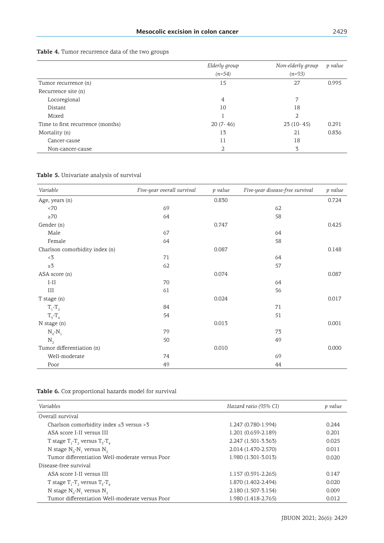|  |  |  | <b>Table 4.</b> Tumor recurrence data of the two groups |  |  |  |  |  |
|--|--|--|---------------------------------------------------------|--|--|--|--|--|
|--|--|--|---------------------------------------------------------|--|--|--|--|--|

|                                   | Elderly group | Non-elderly group | p value |
|-----------------------------------|---------------|-------------------|---------|
|                                   | $(n=54)$      | $(n=93)$          |         |
| Tumor recurrence (n)              | 15            | 27                | 0.995   |
| Recurrence site (n)               |               |                   |         |
| Locoregional                      | 4             | 7                 |         |
| Distant                           | 10            | 18                |         |
| Mixed                             |               | 2                 |         |
| Time to first recurrence (months) | $20(7-46)$    | $23(10-45)$       | 0.291   |
| Mortality (n)                     | 13            | 21                | 0.836   |
| Cancer-cause                      | 11            | 18                |         |
| Non-cancer-cause                  | 2             | 3                 |         |

**Table 5.** Univariate analysis of survival

| Variable                       | Five-year overall survival | p value | Five-year disease-free survival | p value |
|--------------------------------|----------------------------|---------|---------------------------------|---------|
| Age, years (n)                 |                            | 0.830   |                                 | 0.724   |
| < 70                           | 69                         |         | 62                              |         |
| $\geq 70$                      | 64                         |         | 58                              |         |
| Gender (n)                     |                            | 0.747   |                                 | 0.425   |
| Male                           | 67                         |         | 64                              |         |
| Female                         | 64                         |         | 58                              |         |
| Charlson comorbidity index (n) |                            | 0.087   |                                 | 0.148   |
| < 3                            | 71                         |         | 64                              |         |
| $\geq 3$                       | 62                         |         | 57                              |         |
| ASA score (n)                  |                            | 0.074   |                                 | 0.087   |
| $I-II$                         | 70                         |         | 64                              |         |
| Ш                              | 61                         |         | 56                              |         |
| T stage (n)                    |                            | 0.024   |                                 | 0.017   |
| $T_1 - T_2$                    | 84                         |         | 71                              |         |
| $T_{5}$ - $T_{4}$              | 54                         |         | 51                              |         |
| N stage (n)                    |                            | 0.013   |                                 | 0.001   |
| $N_0-N_1$                      | 79                         |         | 73                              |         |
| $N_{2}$                        | 50                         |         | 49                              |         |
| Tumor differentiation (n)      |                            | 0.010   |                                 | 0.000   |
| Well-moderate                  | 74                         |         | 69                              |         |
| Poor                           | 49                         |         | 44                              |         |

**Table 6.** Cox proportional hazards model for survival

| Variables                                       | Hazard ratio (95% CI) | p value |
|-------------------------------------------------|-----------------------|---------|
| Overall survival                                |                       |         |
| Charlson comorbidity index $\leq 3$ versus > 3  | 1.247 (0.780-1.994)   | 0.244   |
| ASA score I-II versus III                       | 1.201 (0.659-2.189)   | 0.201   |
| T stage $T_1$ - $T_2$ versus $T_3$ - $T_4$      | 2.247 (1.501-3.363)   | 0.025   |
| N stage $N_0$ -N, versus $N_2$                  | 2.014 (1.470-2.570)   | 0.011   |
| Tumor differentiation Well-moderate versus Poor | 1.980 (1.301-3.013)   | 0.020   |
| Disease-free survival                           |                       |         |
| ASA score I-II versus III                       | 1.157 (0.591-2.265)   | 0.147   |
| T stage $T_1$ -T, versus $T_2$ -T <sub>4</sub>  | 1.870 (1.402-2.494)   | 0.020   |
| N stage $N_0$ -N, versus $N_2$                  | 2.180 (1.507-3.154)   | 0.009   |
| Tumor differentiation Well-moderate versus Poor | 1.980 (1.418-2.765)   | 0.012   |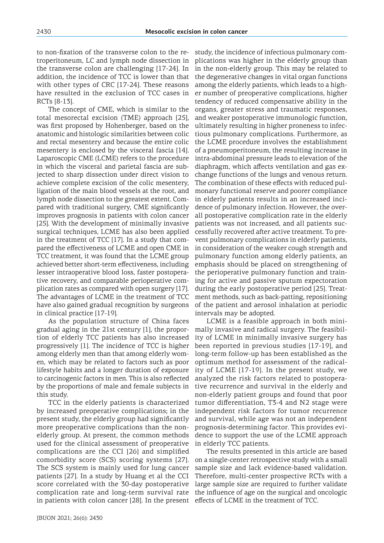to non-fixation of the transverse colon to the retroperitoneum, LC and lymph node dissection in the transverse colon are challenging [17-24]. In addition, the incidence of TCC is lower than that with other types of CRC [17-24]. These reasons have resulted in the exclusion of TCC cases in RCTs [8-13].

The concept of CME, which is similar to the total mesorectal excision (TME) approach [25], was first proposed by Hohenberger, based on the anatomic and histologic similarities between colic and rectal mesentery and because the entire colic mesentery is enclosed by the visceral fascia [14]. Laparoscopic CME (LCME) refers to the procedure in which the visceral and parietal fascia are subjected to sharp dissection under direct vision to achieve complete excision of the colic mesentery, ligation of the main blood vessels at the root, and lymph node dissection to the greatest extent. Compared with traditional surgery, CME significantly improves prognosis in patients with colon cancer [25]. With the development of minimally invasive surgical techniques, LCME has also been applied in the treatment of TCC [17]. In a study that compared the effectiveness of LCME and open CME in TCC treatment, it was found that the LCME group achieved better short-term effectiveness, including lesser intraoperative blood loss, faster postoperative recovery, and comparable perioperative complication rates as compared with open surgery [17]. The advantages of LCME in the treatment of TCC have also gained gradual recognition by surgeons in clinical practice [17-19].

As the population structure of China faces gradual aging in the 21st century [1], the proportion of elderly TCC patients has also increased progressively [1]. The incidence of TCC is higher among elderly men than that among elderly women, which may be related to factors such as poor lifestyle habits and a longer duration of exposure to carcinogenic factors in men. This is also reflected by the proportions of male and female subjects in this study.

TCC in the elderly patients is characterized by increased preoperative complications; in the present study, the elderly group had significantly more preoperative complications than the nonelderly group. At present, the common methods used for the clinical assessment of preoperative complications are the CCI [26] and simplified The SCS system is mainly used for lung cancer patients [27]. In a study by Huang et al the CCI score correlated with the 30-day postoperative complication rate and long-term survival rate in patients with colon cancer [28]. In the present effects of LCME in the treatment of TCC.

study, the incidence of infectious pulmonary complications was higher in the elderly group than in the non-elderly group. This may be related to the degenerative changes in vital organ functions among the elderly patients, which leads to a higher number of preoperative complications, higher tendency of reduced compensative ability in the organs, greater stress and traumatic responses, and weaker postoperative immunologic function, ultimately resulting in higher proneness to infectious pulmonary complications. Furthermore, as the LCME procedure involves the establishment of a pneumoperitoneum, the resulting increase in intra-abdominal pressure leads to elevation of the diaphragm, which affects ventilation and gas exchange functions of the lungs and venous return. The combination of these effects with reduced pulmonary functional reserve and poorer compliance in elderly patients results in an increased incidence of pulmonary infection. However, the overall postoperative complication rate in the elderly patients was not increased, and all patients successfully recovered after active treatment. To prevent pulmonary complications in elderly patients, in consideration of the weaker cough strength and pulmonary function among elderly patients, an emphasis should be placed on strengthening of the perioperative pulmonary function and training for active and passive sputum expectoration during the early postoperative period [25]. Treatment methods, such as back-patting, repositioning of the patient and aerosol inhalation at periodic intervals may be adopted.

LCME is a feasible approach in both minimally invasive and radical surgery. The feasibility of LCME in minimally invasive surgery has been reported in previous studies [17-19], and long-term follow-up has been established as the optimum method for assessment of the radicality of LCME [17-19]. In the present study, we analyzed the risk factors related to postoperative recurrence and survival in the elderly and non-elderly patient groups and found that poor tumor differentiation, T3-4 and N2 stage were independent risk factors for tumor recurrence and survival, while age was not an independent prognosis-determining factor. This provides evidence to support the use of the LCME approach in elderly TCC patients.

comorbidity score (SCS) scoring systems [27]. on a single-center retrospective study with a small The results presented in this article are based sample size and lack evidence-based validation. Therefore, multi-center prospective RCTs with a large sample size are required to further validate the influence of age on the surgical and oncologic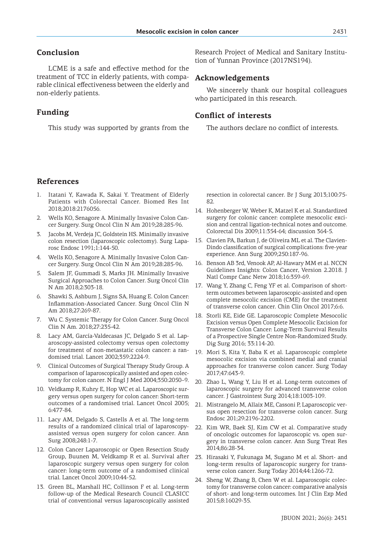# **Conclusion**

LCME is a safe and effective method for the treatment of TCC in elderly patients, with comparable clinical effectiveness between the elderly and non-elderly patients.

# **Funding**

This study was supported by grants from the

Research Project of Medical and Sanitary Institution of Yunnan Province (2017NS194).

#### **Acknowledgements**

We sincerely thank our hospital colleagues who participated in this research.

### **Conflict of interests**

The authors declare no conflict of interests.

# **References**

- 1. Itatani Y, Kawada K, Sakai Y. Treatment of Elderly Patients with Colorectal Cancer. Biomed Res Int 2018;2018:2176056.
- 2. Wells KO, Senagore A. Minimally Invasive Colon Cancer Surgery. Surg Oncol Clin N Am 2019;28:285-96.
- 3. Jacobs M, Verdeja JC, Goldstein HS. Minimally invasive colon resection (laparoscopic colectomy). Surg Laparosc Endosc 1991;1:144-50.
- 4. Wells KO, Senagore A. Minimally Invasive Colon Cancer Surgery. Surg Oncol Clin N Am 2019;28:285-96.
- 5. Salem JF, Gummadi S, Marks JH. Minimally Invasive Surgical Approaches to Colon Cancer. Surg Oncol Clin N Am 2018;2:303-18.
- 6. Shawki S, Ashburn J, Signs SA, Huang E. Colon Cancer: Inflammation-Associated Cancer. Surg Oncol Clin N Am 2018;27:269-87.
- 7. Wu C. Systemic Therapy for Colon Cancer. Surg Oncol Clin N Am. 2018;27:235-42.
- 8. Lacy AM, García-Valdecasas JC, Delgado S et al. Laparoscopy-assisted colectomy versus open colectomy for treatment of non-metastatic colon cancer: a randomised trial. Lancet 2002;359:2224-9.
- 9. Clinical Outcomes of Surgical Therapy Study Group. A comparison of laparoscopically assisted and open colectomy for colon cancer. N Engl J Med 2004;350:2050-9.
- 10. Veldkamp R, Kuhry E, Hop WC et al. Laparoscopic surgery versus open surgery for colon cancer: Short-term outcomes of a randomised trial. Lancet Oncol 2005; 6:477-84.
- 11. Lacy AM, Delgado S, Castells A et al. The long-term results of a randomized clinical trial of laparoscopyassisted versus open surgery for colon cancer. Ann Surg 2008;248:1-7.
- 12. Colon Cancer Laparoscopic or Open Resection Study Group, Buunen M, Veldkamp R et al. Survival after laparoscopic surgery versus open surgery for colon cancer: long-term outcome of a randomised clinical trial. Lancet Oncol 2009;10:44-52.
- 13. Green BL, Marshall HC, Collinson F et al. Long-term follow-up of the Medical Research Council CLASICC trial of conventional versus laparoscopically assisted

resection in colorectal cancer. Br J Surg 2013;100:75- 82.

- 14. Hohenberger W, Weber K, Matzel K et al. Standardized surgery for colonic cancer: complete mesocolic excision and central ligation-technical notes and outcome. Colorectal Dis 2009;11:354-64; discussion 364-5.
- 15. Clavien PA, Barkun J, de Oliveira ML et al. The Clavien-Dindo classification of surgical complications: five-year experience. Ann Surg 2009;250:187-96.
- 16. Benson AB 3rd, Venook AP, Al-Hawary MM et al. NCCN Guidelines Insights: Colon Cancer, Version 2.2018. J Natl Compr Canc Netw 2018;16:359-69.
- 17. Wang Y, Zhang C, Feng YF et al. Comparison of shortterm outcomes between laparoscopic-assisted and open complete mesocolic excision (CME) for the treatment of transverse colon cancer. Chin Clin Oncol 2017;6:6.
- 18. Storli KE, Eide GE. Laparoscopic Complete Mesocolic Excision versus Open Complete Mesocolic Excision for Transverse Colon Cancer: Long-Term Survival Results of a Prospective Single Centre Non-Randomized Study. Dig Surg 2016; 33:114-20.
- 19. Mori S, Kita Y, Baba K et al. Laparoscopic complete mesocolic excision via combined medial and cranial approaches for transverse colon cancer. Surg Today 2017;47:643-9.
- 20. Zhao L, Wang Y, Liu H et al. Long-term outcomes of laparoscopic surgery for advanced transverse colon cancer. J Gastrointest Surg 2014;18:1003-109.
- 21. Mistrangelo M, Allaix ME, Cassoni P, Laparoscopic versus open resection for transverse colon cancer. Surg Endosc 201;29:2196-2202.
- 22. Kim WR, Baek SJ, Kim CW et al. Comparative study of oncologic outcomes for laparoscopic vs. open surgery in transverse colon cancer. Ann Surg Treat Res 2014;86:28-34.
- 23. Hirasaki Y, Fukunaga M, Sugano M et al. Short- and long-term results of laparoscopic surgery for transverse colon cancer. Surg Today 2014;44:1266-72.
- 24. Sheng W, Zhang B, Chen W et al. Laparoscopic colectomy for transverse colon cancer: comparative analysis of short- and long-term outcomes. Int J Clin Exp Med 2015;8:16029-35.